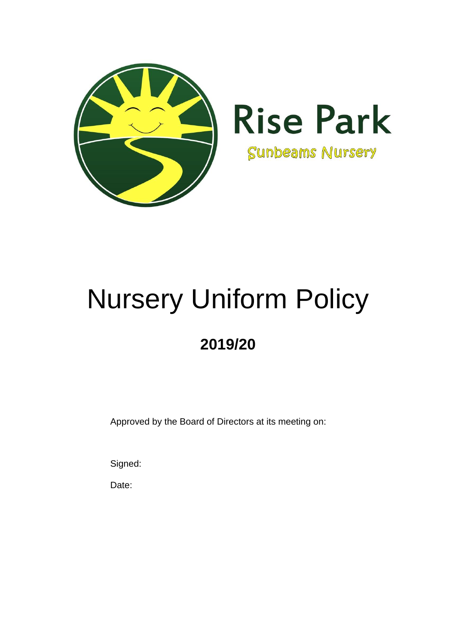

# Nursery Uniform Policy

# **2019/20**

Approved by the Board of Directors at its meeting on:

Signed:

Date: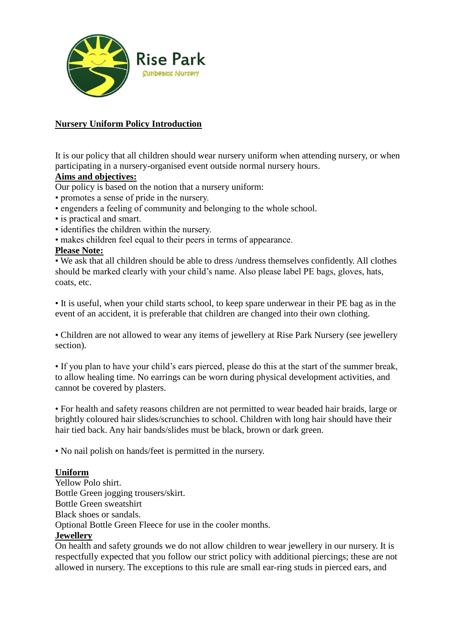

## **Nursery Uniform Policy Introduction**

It is our policy that all children should wear nursery uniform when attending nursery, or when participating in a nursery-organised event outside normal nursery hours.

### **Aims and objectives:**

Our policy is based on the notion that a nursery uniform:

- promotes a sense of pride in the nursery.
- engenders a feeling of community and belonging to the whole school.
- is practical and smart.
- identifies the children within the nursery.
- makes children feel equal to their peers in terms of appearance.

### **Please Note:**

• We ask that all children should be able to dress /undress themselves confidently. All clothes should be marked clearly with your child's name. Also please label PE bags, gloves, hats, coats, etc.

• It is useful, when your child starts school, to keep spare underwear in their PE bag as in the event of an accident, it is preferable that children are changed into their own clothing.

• Children are not allowed to wear any items of jewellery at Rise Park Nursery (see jewellery section).

• If you plan to have your child's ears pierced, please do this at the start of the summer break, to allow healing time. No earrings can be worn during physical development activities, and cannot be covered by plasters.

• For health and safety reasons children are not permitted to wear beaded hair braids, large or brightly coloured hair slides/scrunchies to school. Children with long hair should have their hair tied back. Any hair bands/slides must be black, brown or dark green.

• No nail polish on hands/feet is permitted in the nursery.

#### **Uniform**

Yellow Polo shirt. Bottle Green jogging trousers/skirt. Bottle Green sweatshirt Black shoes or sandals. Optional Bottle Green Fleece for use in the cooler months. **Jewellery**

On health and safety grounds we do not allow children to wear jewellery in our nursery. It is respectfully expected that you follow our strict policy with additional piercings; these are not allowed in nursery. The exceptions to this rule are small ear-ring studs in pierced ears, and